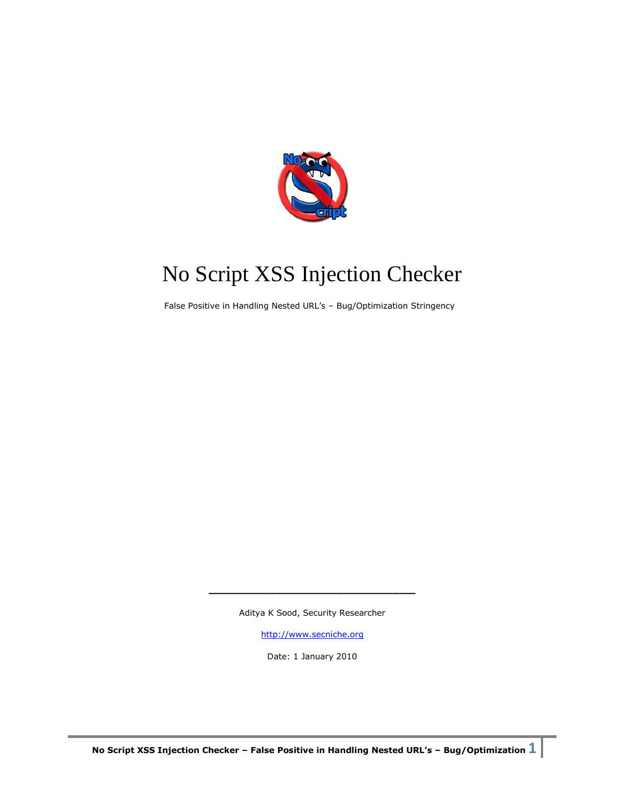

# No Script XSS Injection Checker

False Positive in Handling Nested URL's – Bug/Optimization Stringency

Aditya K Sood, Security Researcher

**\_\_\_\_\_\_\_\_\_\_\_\_\_\_\_\_\_\_\_\_\_\_\_\_\_\_\_\_\_\_\_\_\_\_\_\_\_**

[http://www.secniche.org](http://www.secniche.org/)

Date: 1 January 2010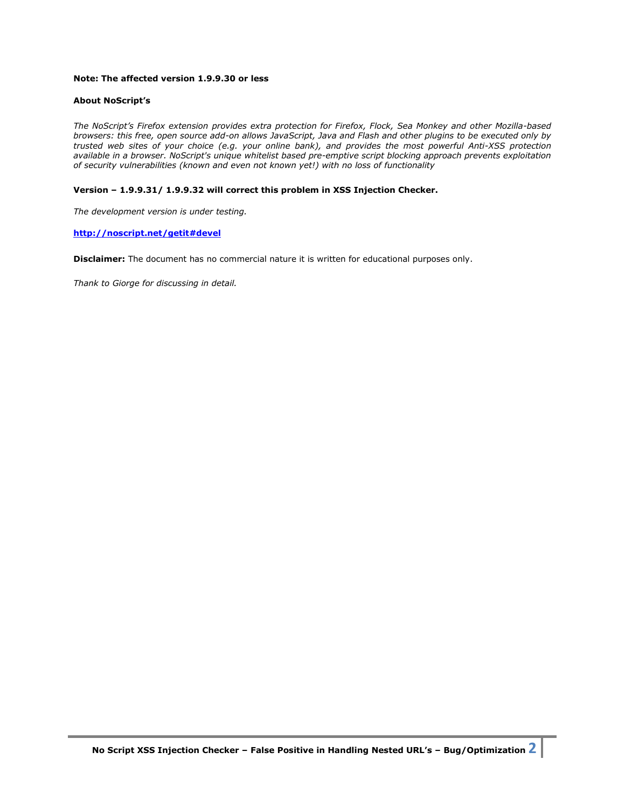# **Note: The affected version 1.9.9.30 or less**

## **About NoScript's**

*The NoScript's Firefox extension provides extra protection for Firefox, Flock, Sea Monkey and other Mozilla-based browsers: this free, open source add-on allows JavaScript, Java and Flash and other plugins to be executed only by trusted web sites of your choice (e.g. your online bank), and provides the most powerful Anti-XSS protection available in a browser. NoScript's unique whitelist based pre-emptive script blocking approach prevents exploitation of security vulnerabilities (known and even not known yet!) with no loss of functionality*

## **Version – 1.9.9.31/ 1.9.9.32 will correct this problem in XSS Injection Checker.**

*The development version is under testing.*

#### **<http://noscript.net/getit#devel>**

**Disclaimer:** The document has no commercial nature it is written for educational purposes only.

*Thank to Giorge for discussing in detail.*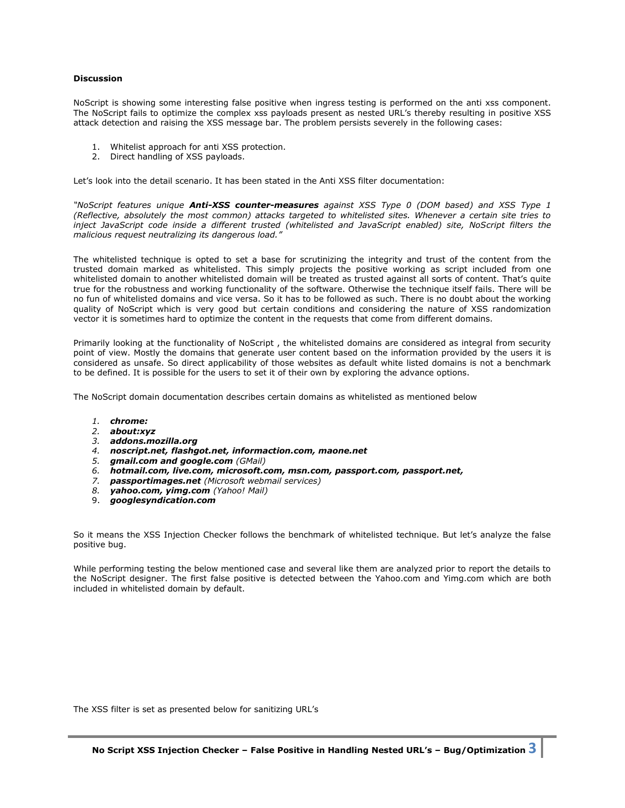#### **Discussion**

NoScript is showing some interesting false positive when ingress testing is performed on the anti xss component. The NoScript fails to optimize the complex xss payloads present as nested URL's thereby resulting in positive XSS attack detection and raising the XSS message bar. The problem persists severely in the following cases:

- 1. Whitelist approach for anti XSS protection.
- 2. Direct handling of XSS payloads.

Let's look into the detail scenario. It has been stated in the Anti XSS filter documentation:

*"NoScript features unique Anti-XSS counter-measures against XSS Type 0 (DOM based) and XSS Type 1 (Reflective, absolutely the most common) attacks targeted to whitelisted sites. Whenever a certain site tries to inject JavaScript code inside a different trusted (whitelisted and JavaScript enabled) site, NoScript filters the malicious request neutralizing its dangerous load."*

The whitelisted technique is opted to set a base for scrutinizing the integrity and trust of the content from the trusted domain marked as whitelisted. This simply projects the positive working as script included from one whitelisted domain to another whitelisted domain will be treated as trusted against all sorts of content. That's quite true for the robustness and working functionality of the software. Otherwise the technique itself fails. There will be no fun of whitelisted domains and vice versa. So it has to be followed as such. There is no doubt about the working quality of NoScript which is very good but certain conditions and considering the nature of XSS randomization vector it is sometimes hard to optimize the content in the requests that come from different domains.

Primarily looking at the functionality of NoScript , the whitelisted domains are considered as integral from security point of view. Mostly the domains that generate user content based on the information provided by the users it is considered as unsafe. So direct applicability of those websites as default white listed domains is not a benchmark to be defined. It is possible for the users to set it of their own by exploring the advance options.

The NoScript domain documentation describes certain domains as whitelisted as mentioned below

- *1. chrome:*
- *2. about:xyz*
- *3. addons.mozilla.org*
- *4. noscript.net, flashgot.net, informaction.com, maone.net*
- *5. gmail.com and google.com (GMail)*
- *6. hotmail.com, live.com, microsoft.com, msn.com, passport.com, passport.net,*
- *7. passportimages.net (Microsoft webmail services)*
- *8. yahoo.com, yimg.com (Yahoo! Mail)*
- 9. *googlesyndication.com*

So it means the XSS Injection Checker follows the benchmark of whitelisted technique. But let's analyze the false positive bug.

While performing testing the below mentioned case and several like them are analyzed prior to report the details to the NoScript designer. The first false positive is detected between the Yahoo.com and Yimg.com which are both included in whitelisted domain by default.

The XSS filter is set as presented below for sanitizing URL's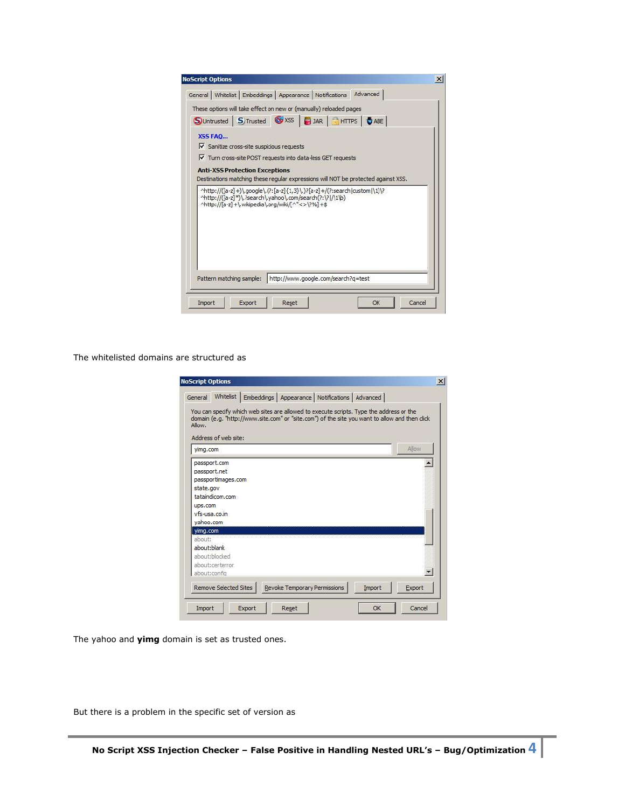|                | General   Whitelist   Embeddings   Appearance   Notifications   Advanced                                                                                                                   |  |  |  |
|----------------|--------------------------------------------------------------------------------------------------------------------------------------------------------------------------------------------|--|--|--|
|                | These options will take effect on new or (manually) reloaded pages                                                                                                                         |  |  |  |
|                | Suntrusted STrusted WXSS BJAR HTTPS DABE                                                                                                                                                   |  |  |  |
| <b>X55 FAO</b> |                                                                                                                                                                                            |  |  |  |
|                | $\triangledown$ Sanitize cross-site suspicious requests                                                                                                                                    |  |  |  |
|                | Turn cross-site POST requests into data-less GET requests                                                                                                                                  |  |  |  |
|                | <b>Anti-XSS Protection Exceptions</b>                                                                                                                                                      |  |  |  |
|                |                                                                                                                                                                                            |  |  |  |
|                | Destinations matching these regular expressions will NOT be protected against XSS.                                                                                                         |  |  |  |
|                | ^http://([a-z]+)\,google\,(?:[a-z]{1,3}\,)?[a-z]+/(?:search custom \1)\?<br>^http://([a-z]*)\.?search\.yahoo\.com/search(?:\? /\1\b)<br>^http://[a-z] +\.wikipedia\.org/wiki/[^"<>\?%] +\$ |  |  |  |

The whitelisted domains are structured as

| General                            |                                                                                        | Whitelist   Embeddings   Appearance   Notifications   Advanced                          |                              |        |                                                                                               |
|------------------------------------|----------------------------------------------------------------------------------------|-----------------------------------------------------------------------------------------|------------------------------|--------|-----------------------------------------------------------------------------------------------|
| Allow.                             | Address of web site:                                                                   | You can specify which web sites are allowed to execute scripts. Type the address or the |                              |        | domain (e.g. "http://www.site.com" or "site.com") of the site you want to allow and then dick |
| yimg.com                           |                                                                                        |                                                                                         |                              |        | Allow                                                                                         |
| state.gov<br>ups.com<br>yahoo.com  | passport.com<br>passport.net<br>passportimages.com<br>tataindicom.com<br>vfs-usa.co.in |                                                                                         |                              |        | $\blacktriangle$                                                                              |
| yimg.com<br>about:<br>about: blank |                                                                                        |                                                                                         |                              |        |                                                                                               |
|                                    | about:blocked<br>about:certerror.<br>about:config                                      |                                                                                         |                              |        | $\mathbf{r}$                                                                                  |
|                                    | <b>Remove Selected Sites</b>                                                           |                                                                                         | Revoke Temporary Permissions | Import | Export                                                                                        |

The yahoo and **yimg** domain is set as trusted ones.

But there is a problem in the specific set of version as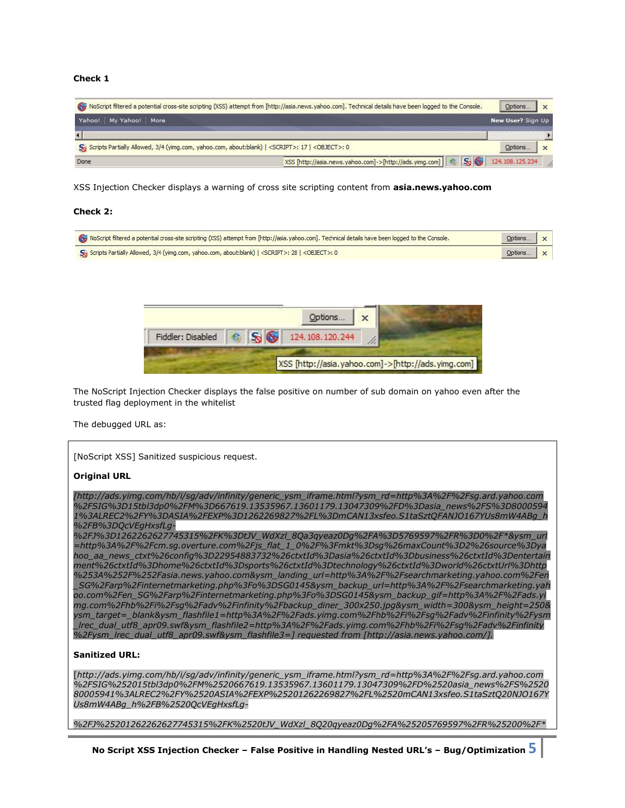## **Check 1**

| NoScript filtered a potential cross-site scripting (XSS) attempt from [http://asia.news.yahoo.com]. Technical details have been logged to the Console. |  | Options           | $\times$ |
|--------------------------------------------------------------------------------------------------------------------------------------------------------|--|-------------------|----------|
| Yahoo! My Yahoo! More                                                                                                                                  |  | New User? Sign Up |          |
|                                                                                                                                                        |  |                   |          |
| Scripts Partially Allowed, 3/4 (yimg.com, yahoo.com, about:blank)   <script></script>                                                                  |  |                   |          |

XSS Injection Checker displays a warning of cross site scripting content from **asia.news.yahoo.com**

#### **Check 2:**

| NoScript filtered a potential cross-site scripting (XSS) attempt from [http://asia.yahoo.com]. Technical details have been logged to the Console. | $Qptions$ $x$ |  |
|---------------------------------------------------------------------------------------------------------------------------------------------------|---------------|--|
| So Scripts Partially Allowed, 3/4 (yimg.com, yahoo.com, about:blank)   <script></script>                                                          |               |  |

|  |  | Options $\mathbf{x}$                               |  |
|--|--|----------------------------------------------------|--|
|  |  | Fiddler: Disabled <b>6 S J</b> 124.108.120.244     |  |
|  |  | XSS [http://asia.yahoo.com]->[http://ads.yimg.com] |  |

The NoScript Injection Checker displays the false positive on number of sub domain on yahoo even after the trusted flag deployment in the whitelist

The debugged URL as:

[NoScript XSS] Sanitized suspicious request.

#### **Original URL**

*[http://ads.yimg.com/hb/i/sg/adv/infinity/generic\_ysm\_iframe.html?ysm\_rd=http%3A%2F%2Fsg.ard.yahoo.com %2FSIG%3D15tbl3dp0%2FM%3D667619.13535967.13601179.13047309%2FD%3Dasia\_news%2FS%3D8000594 1%3ALREC2%2FY%3DASIA%2FEXP%3D1262269827%2FL%3DmCAN13xsfeo.S1taSztQFANJO167YUs8mW4ABg\_h %2FB%3DQcVEgHxsfLg-*

*%2FJ%3D1262262627745315%2FK%3DtJV\_WdXzl\_8Qa3qyeaz0Dg%2FA%3D5769597%2FR%3D0%2F\*&ysm\_url =http%3A%2F%2Fcm.sg.overture.com%2Fjs\_flat\_1\_0%2F%3Fmkt%3Dsg%26maxCount%3D2%26source%3Dya hoo\_aa\_news\_ctxt%26config%3D22954883732%26ctxtId%3Dasia%26ctxtId%3Dbusiness%26ctxtId%3Dentertain ment%26ctxtId%3Dhome%26ctxtId%3Dsports%26ctxtId%3Dtechnology%26ctxtId%3Dworld%26ctxtUrl%3Dhttp %253A%252F%252Fasia.news.yahoo.com&ysm\_landing\_url=http%3A%2F%2Fsearchmarketing.yahoo.com%2Fen \_SG%2Farp%2Finternetmarketing.php%3Fo%3DSG0145&ysm\_backup\_url=http%3A%2F%2Fsearchmarketing.yah oo.com%2Fen\_SG%2Farp%2Finternetmarketing.php%3Fo%3DSG0145&ysm\_backup\_gif=http%3A%2F%2Fads.yi mg.com%2Fhb%2Fi%2Fsg%2Fadv%2Finfinity%2Fbackup\_diner\_300x250.jpg&ysm\_width=300&ysm\_height=250& ysm\_target=\_blank&ysm\_flashfile1=http%3A%2F%2Fads.yimg.com%2Fhb%2Fi%2Fsg%2Fadv%2Finfinity%2Fysm \_lrec\_dual\_utf8\_apr09.swf&ysm\_flashfile2=http%3A%2F%2Fads.yimg.com%2Fhb%2Fi%2Fsg%2Fadv%2Finfinity %2Fysm\_lrec\_dual\_utf8\_apr09.swf&ysm\_flashfile3=] requested from [http://asia.news.yahoo.com/].*

## **Sanitized URL:**

[*http://ads.yimg.com/hb/i/sg/adv/infinity/generic\_ysm\_iframe.html?ysm\_rd=http%3A%2F%2Fsg.ard.yahoo.com %2FSIG%252015tbl3dp0%2FM%2520667619.13535967.13601179.13047309%2FD%2520asia\_news%2FS%2520 80005941%3ALREC2%2FY%2520ASIA%2FEXP%25201262269827%2FL%2520mCAN13xsfeo.S1taSztQ20NJO167Y Us8mW4ABg\_h%2FB%2520QcVEgHxsfLg-*

*%2FJ%25201262262627745315%2FK%2520tJV\_WdXzl\_8Q20qyeaz0Dg%2FA%25205769597%2FR%25200%2F\**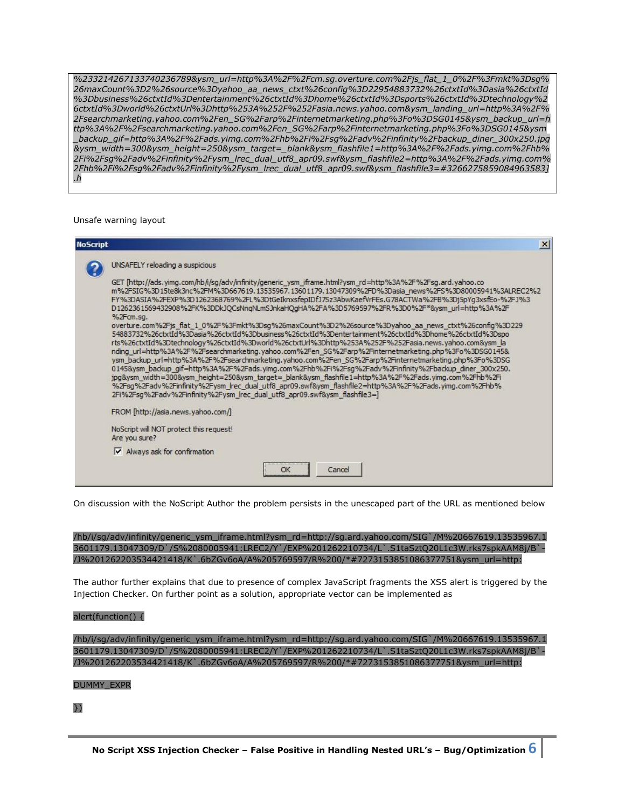*%233214267133740236789&ysm\_url=http%3A%2F%2Fcm.sg.overture.com%2Fjs\_flat\_1\_0%2F%3Fmkt%3Dsg% 26maxCount%3D2%26source%3Dyahoo\_aa\_news\_ctxt%26config%3D22954883732%26ctxtId%3Dasia%26ctxtId %3Dbusiness%26ctxtId%3Dentertainment%26ctxtId%3Dhome%26ctxtId%3Dsports%26ctxtId%3Dtechnology%2 6ctxtId%3Dworld%26ctxtUrl%3Dhttp%253A%252F%252Fasia.news.yahoo.com&ysm\_landing\_url=http%3A%2F% 2Fsearchmarketing.yahoo.com%2Fen\_SG%2Farp%2Finternetmarketing.php%3Fo%3DSG0145&ysm\_backup\_url=h ttp%3A%2F%2Fsearchmarketing.yahoo.com%2Fen\_SG%2Farp%2Finternetmarketing.php%3Fo%3DSG0145&ysm \_backup\_gif=http%3A%2F%2Fads.yimg.com%2Fhb%2Fi%2Fsg%2Fadv%2Finfinity%2Fbackup\_diner\_300x250.jpg &ysm\_width=300&ysm\_height=250&ysm\_target=\_blank&ysm\_flashfile1=http%3A%2F%2Fads.yimg.com%2Fhb% 2Fi%2Fsg%2Fadv%2Finfinity%2Fysm\_lrec\_dual\_utf8\_apr09.swf&ysm\_flashfile2=http%3A%2F%2Fads.yimg.com% 2Fhb%2Fi%2Fsg%2Fadv%2Finfinity%2Fysm\_lrec\_dual\_utf8\_apr09.swf&ysm\_flashfile3=#3266275859084963583] .h*

#### Unsafe warning layout

| <b>NoScript</b> | $\vert x \vert$                                                                                                                                                                                                                                                                                                                                                                                                                                                                                                                                                                                                                                                                                                                                                                                                                                                                                                                           |
|-----------------|-------------------------------------------------------------------------------------------------------------------------------------------------------------------------------------------------------------------------------------------------------------------------------------------------------------------------------------------------------------------------------------------------------------------------------------------------------------------------------------------------------------------------------------------------------------------------------------------------------------------------------------------------------------------------------------------------------------------------------------------------------------------------------------------------------------------------------------------------------------------------------------------------------------------------------------------|
|                 | UNSAFELY reloading a suspicious                                                                                                                                                                                                                                                                                                                                                                                                                                                                                                                                                                                                                                                                                                                                                                                                                                                                                                           |
|                 | GET [http://ads.yimg.com/hb/i/sg/adv/infinity/generic_ysm_iframe.html?ysm_rd=http%3A%2F%2Fsg.ard.yahoo.co<br>m%2FSIG%3D15te8k3nc%2FM%3D667619.13535967.13601179.13047309%2FD%3Dasia_news%2FS%3D80005941%3ALREC2%2<br>FY%3DASIA%2FEXP%3D1262368769%2FL%3DtGeIknxsfepIDfJ7Sz3AbwKaefVrFEs.G78ACTWa%2FB%3Dj5pYq3xsfEo-%2FJ%3<br>D1262361569432908%2FK%3DDkJQCsNnqNLmSJnkaHQqHA%2FA%3D5769597%2FR%3D0%2F*&ysm_url=http%3A%2F<br>%2Fcm.sq.                                                                                                                                                                                                                                                                                                                                                                                                                                                                                                     |
|                 | overture.com%2Fjs flat 1 0%2F%3Fmkt%3Dsq%26maxCount%3D2%26source%3Dyahoo aa news ctxt%26confiq%3D229<br>54883732%26ctxtId%3Dasia%26ctxtId%3Dbusiness%26ctxtId%3Dentertainment%26ctxtId%3Dhome%26ctxtId%3Dspo<br>rts%26ctxtId%3Dtechnology%26ctxtId%3Dworld%26ctxtUrl%3Dhttp%253A%252F%252Fasia.news.yahoo.com&ysm_la<br>nding url=http%3A%2F%2Fsearchmarketing.yahoo.com%2Fen SG%2Farp%2Finternetmarketing.php%3Fo%3DSG0145&<br>ysm_backup_url=http%3A%2F%2Fsearchmarketing.yahoo.com%2Fen_SG%2Farp%2Finternetmarketing.php%3Fo%3DSG<br>0145&ysm_backup_qif=http%3A%2F%2Fads.yimq.com%2Fhb%2Fi%2Fsq%2Fadv%2Finfinity%2Fbackup_diner_300x250.<br>jpg&ysm_width=300&ysm_height=250&ysm_target=_blank&ysm_flashfile1=http%3A%2F%2Fads.yimg.com%2Fhb%2Fi<br>%2Fsg%2Fadv%2Finfinity%2Fysm_lrec_dual_utf8_apr09.swf&ysm_flashfile2=http%3A%2F%2Fads.yimg.com%2Fhb%<br>2Fi%2Fsq%2Fadv%2Finfinity%2Fysm lrec dual utf8 apr09.swf&ysm flashfile3=] |
|                 | FROM [http://asia.news.yahoo.com/]                                                                                                                                                                                                                                                                                                                                                                                                                                                                                                                                                                                                                                                                                                                                                                                                                                                                                                        |
|                 | NoScript will NOT protect this request!<br>Are you sure?                                                                                                                                                                                                                                                                                                                                                                                                                                                                                                                                                                                                                                                                                                                                                                                                                                                                                  |
|                 | Always ask for confirmation<br>▿                                                                                                                                                                                                                                                                                                                                                                                                                                                                                                                                                                                                                                                                                                                                                                                                                                                                                                          |
|                 | Cancel<br>OK                                                                                                                                                                                                                                                                                                                                                                                                                                                                                                                                                                                                                                                                                                                                                                                                                                                                                                                              |

On discussion with the NoScript Author the problem persists in the unescaped part of the URL as mentioned below

/hb/i/sg/adv/infinity/generic\_ysm\_iframe.html?ysm\_rd=http://sg.ard.yahoo.com/SIG`/M%20667619.13535967.1 3601179.13047309/D`/S%2080005941:LREC2/Y`/EXP%201262210734/L`.S1taSztQ20L1c3W.rks7spkAAM8j/B`- /J%201262203534421418/K`.6bZGv6oA/A%205769597/R%200/\*#7273153851086377751&ysm\_url=http:

The author further explains that due to presence of complex JavaScript fragments the XSS alert is triggered by the Injection Checker. On further point as a solution, appropriate vector can be implemented as

#### alert(function() {

/hb/i/sg/adv/infinity/generic\_ysm\_iframe.html?ysm\_rd=http://sg.ard.yahoo.com/SIG`/M%20667619.13535967.1 3601179.13047309/D`/S%2080005941:LREC2/Y`/EXP%201262210734/L`.S1taSztQ20L1c3W.rks7spkAAM8j/B`- /J%201262203534421418/K`.6bZGv6oA/A%205769597/R%200/\*#7273153851086377751&ysm\_url=http:

#### DUMMY\_EXPR

## })